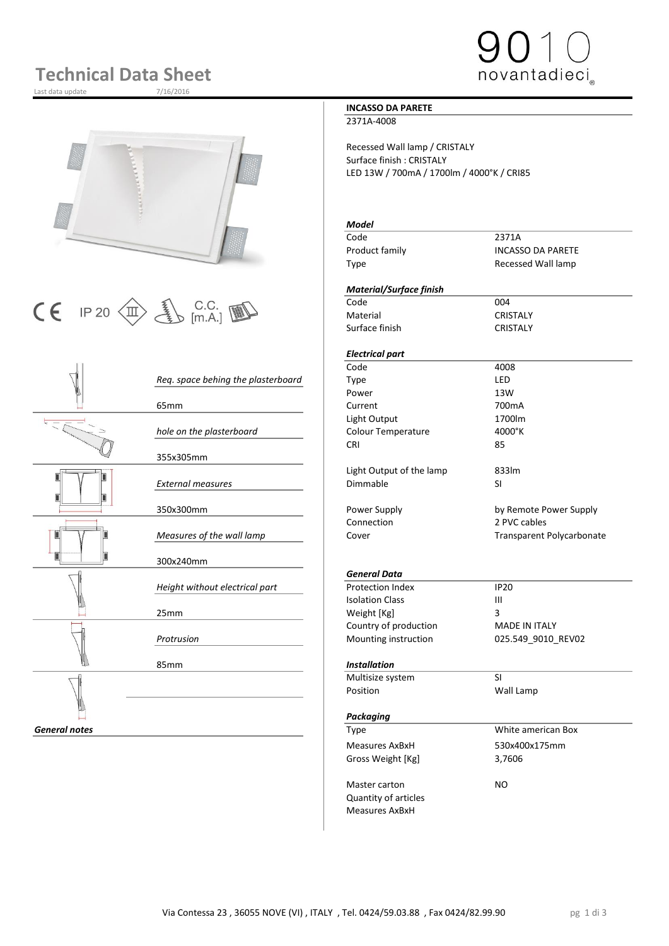## **Technical Data Sheet**

Last data update







|                      |                                    | Code                     | 4008           |
|----------------------|------------------------------------|--------------------------|----------------|
|                      | Req. space behing the plasterboard | <b>Type</b>              | LED            |
|                      |                                    | Power                    | 13W            |
|                      | 65 <sub>mm</sub>                   | Current                  | 700mA          |
| ミド                   |                                    | Light Output             | 1700lm         |
|                      | hole on the plasterboard           | Colour Temperature       | 4000°K         |
|                      |                                    | <b>CRI</b>               | 85             |
|                      | 355x305mm                          |                          |                |
|                      |                                    | Light Output of the lamp | 833lm          |
|                      | <b>External measures</b>           | Dimmable                 | <b>SI</b>      |
|                      |                                    |                          |                |
|                      | 350x300mm                          | Power Supply             | by Remote      |
|                      |                                    | Connection               | 2 PVC cabl     |
|                      | Measures of the wall lamp          | Cover                    | Transpare      |
|                      |                                    |                          |                |
|                      | 300x240mm                          |                          |                |
|                      |                                    | <b>General Data</b>      |                |
|                      | Height without electrical part     | <b>Protection Index</b>  | <b>IP20</b>    |
|                      |                                    | <b>Isolation Class</b>   | $\mathbf{III}$ |
|                      | 25mm                               | Weight [Kg]              | 3              |
|                      |                                    | Country of production    | MADE IN I      |
|                      | Protrusion                         | Mounting instruction     | 025.549_9      |
|                      |                                    |                          |                |
|                      | 85mm                               | <b>Installation</b>      |                |
|                      |                                    | Multisize system         | <b>SI</b>      |
|                      |                                    | Position                 | Wall Lamp      |
|                      |                                    |                          |                |
|                      |                                    | Packaging                |                |
| <b>General notes</b> |                                    | <b>Type</b>              | White ame      |
|                      |                                    | Magcurac AvRyH           | 530v400v1      |

#### **INCASSO DA PARETE**

2371A-4008

Recessed Wall lamp / CRISTALY Surface finish : CRISTALY LED 13W / 700mA / 1700lm / 4000°K / CRI85

#### *Model* Code 2371A Product family **INCASSO DA PARETE** Type Recessed Wall lamp *Material/Surface finish* Material CRISTALY Surface finish CRISTALY *Electrical part* Code 4008 *Req. space behing the plasterboard* Type LED Power 13W 65mm Current 700mA Light Output 1700lm *hole on the plasterboard* Colour Temperature 4000°K CRI 85 Light Output of the lamp 833lm *External measures* Dimmable SI Power Supply **Company** by Remote Power Supply Connection 2 PVC cables Cover **Measures of the Cover Transparent Polycarbonate** *General Data* **Protection Index IP20**<br>Isolation Class III **Isolation Class** Weight [Kg] 3 Country of production MADE IN ITALY *Protrusion* Mounting instruction 025.549\_9010\_REV02 85mm *Installation* Multisize system SI *Packaging* **General Notation 2 and Type White american Box** Measures AxBxH 530x400x175mm Gross Weight [Kg] 3,7606

Master carton NO Quantity of articles Measures AxBxH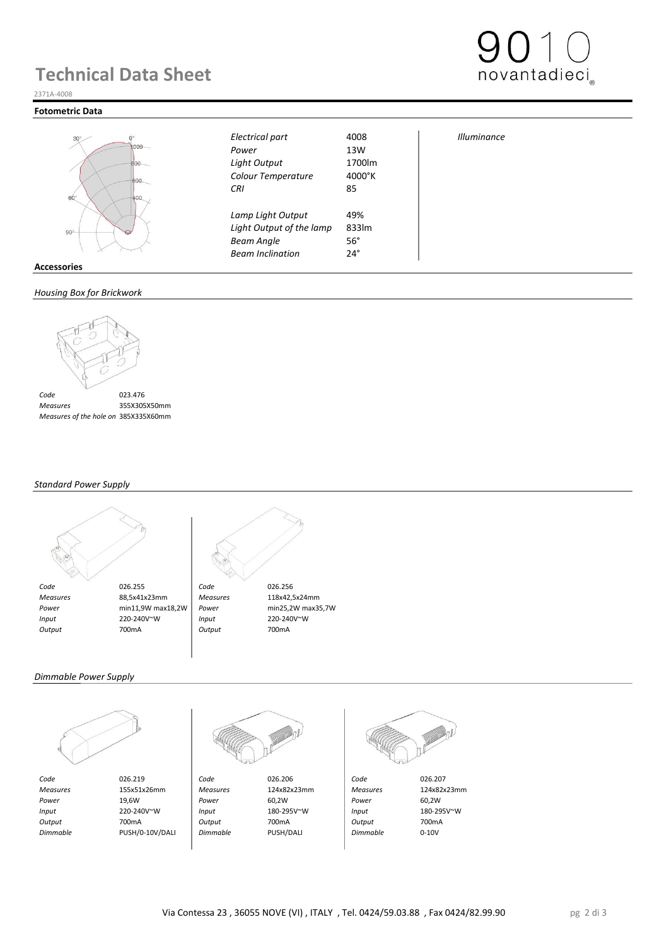### **Technical Data Sheet**



#### **Fotometric Data**





**Light Output of the lamp Beam Angle** 56° *Beam Inclination* 24°

| <b>Illuminance</b> |  |
|--------------------|--|
|                    |  |

novantadieci

#### **Accessories**

#### *Housing Box for Brickwork*



 *Measures* 355X305X50mm *Measures of the hole on 385X335X60mm* 

#### *Standard Power Supply*





#### *Dimmable Power Supply*







 *Output* 700mA *Output* 700mA *Output* 700mA  *Dimmable* PUSH/0-10V/DALI *Dimmable* PUSH/DALI *Dimmable* 0-10V